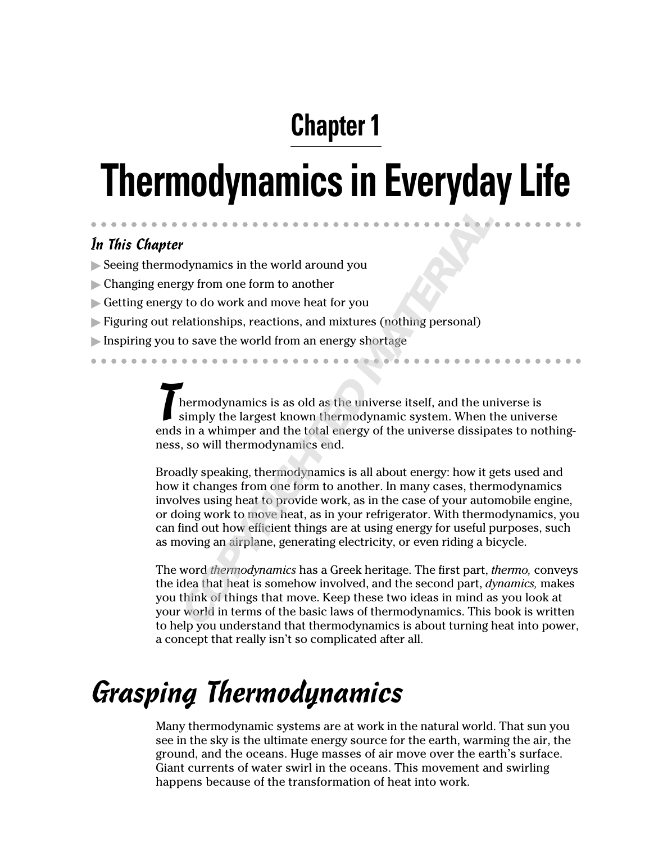# **Chapter 1**

# **Thermodynamics in Everyday Life**

#### In This Chapter

- ▶ Seeing thermodynamics in the world around you
- ▶ Changing energy from one form to another
- ▶ Getting energy to do work and move heat for you
- ▶ Figuring out relationships, reactions, and mixtures (nothing personal)
- ▶ Inspiring you to save the world from an energy shortage

hermodynamics is as old as the universe itself, and the universe is simply the largest known thermodynamic system. When the universe ends in a whimper and the total energy of the universe dissipates to nothingness, so will thermodynamics end.

Broadly speaking, thermodynamics is all about energy: how it gets used and how it changes from one form to another. In many cases, thermodynamics involves using heat to provide work, as in the case of your automobile engine, or doing work to move heat, as in your refrigerator. With thermodynamics, you can find out how efficient things are at using energy for useful purposes, such as moving an airplane, generating electricity, or even riding a bicycle. **COPY THEAT THEAT THAND IN THEAT THAND IN THE WAND THE STAND THE SUPRAM THE SUPRAM THE SUPRAM THE SUPRAM THE SUPRAMATER S. S. A SUPRAMATERIAL S. S. A SUPRAMATERIAL S. S. S. A SUPRAMATERIAL S. S. S. S. A SUPRAMATERIAL S. S.** 

The word *thermodynamics* has a Greek heritage. The first part, *thermo,* conveys the idea that heat is somehow involved, and the second part, *dynamics,* makes you think of things that move. Keep these two ideas in mind as you look at your world in terms of the basic laws of thermodynamics. This book is written to help you understand that thermodynamics is about turning heat into power, a concept that really isn't so complicated after all.

# Grasping Thermodynamics

Many thermodynamic systems are at work in the natural world. That sun you see in the sky is the ultimate energy source for the earth, warming the air, the ground, and the oceans. Huge masses of air move over the earth's surface. Giant currents of water swirl in the oceans. This movement and swirling happens because of the transformation of heat into work.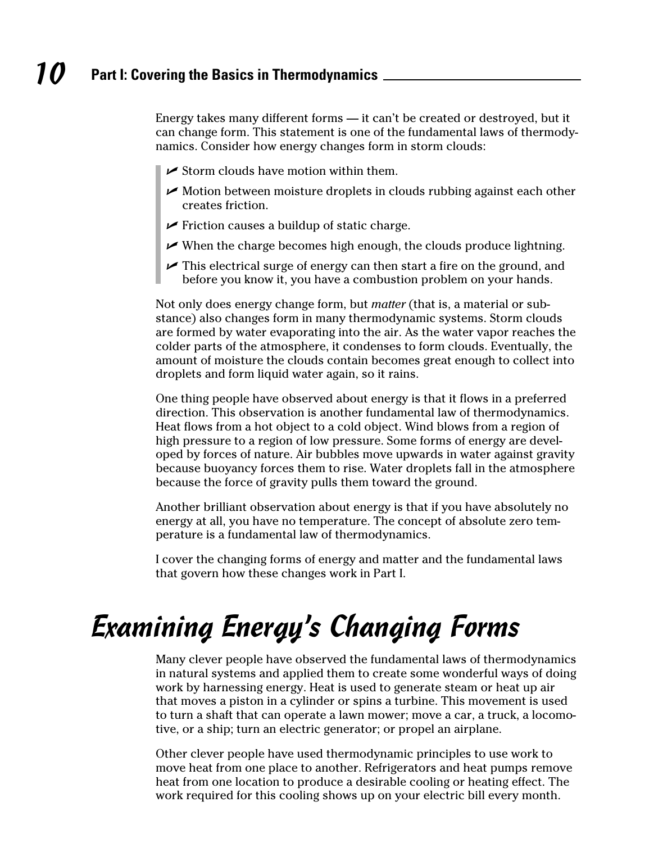Energy takes many different forms — it can't be created or destroyed, but it can change form. This statement is one of the fundamental laws of thermodynamics. Consider how energy changes form in storm clouds:

- $\triangleright$  Storm clouds have motion within them.
- $\triangleright$  Motion between moisture droplets in clouds rubbing against each other creates friction.
- $\triangleright$  Friction causes a buildup of static charge.
- $\blacktriangleright$  When the charge becomes high enough, the clouds produce lightning.
- This electrical surge of energy can then start a fire on the ground, and before you know it, you have a combustion problem on your hands.

Not only does energy change form, but *matter* (that is, a material or substance) also changes form in many thermodynamic systems. Storm clouds are formed by water evaporating into the air. As the water vapor reaches the colder parts of the atmosphere, it condenses to form clouds. Eventually, the amount of moisture the clouds contain becomes great enough to collect into droplets and form liquid water again, so it rains.

One thing people have observed about energy is that it flows in a preferred direction. This observation is another fundamental law of thermodynamics. Heat flows from a hot object to a cold object. Wind blows from a region of high pressure to a region of low pressure. Some forms of energy are developed by forces of nature. Air bubbles move upwards in water against gravity because buoyancy forces them to rise. Water droplets fall in the atmosphere because the force of gravity pulls them toward the ground.

Another brilliant observation about energy is that if you have absolutely no energy at all, you have no temperature. The concept of absolute zero temperature is a fundamental law of thermodynamics.

I cover the changing forms of energy and matter and the fundamental laws that govern how these changes work in Part I.

# Examining Energy's Changing Forms

Many clever people have observed the fundamental laws of thermodynamics in natural systems and applied them to create some wonderful ways of doing work by harnessing energy. Heat is used to generate steam or heat up air that moves a piston in a cylinder or spins a turbine. This movement is used to turn a shaft that can operate a lawn mower; move a car, a truck, a locomotive, or a ship; turn an electric generator; or propel an airplane.

Other clever people have used thermodynamic principles to use work to move heat from one place to another. Refrigerators and heat pumps remove heat from one location to produce a desirable cooling or heating effect. The work required for this cooling shows up on your electric bill every month.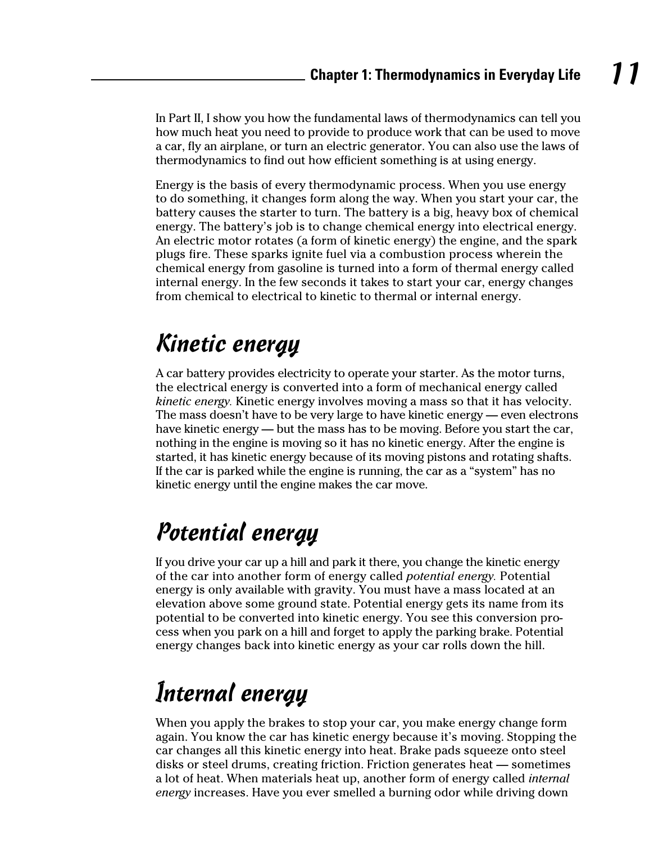In Part II, I show you how the fundamental laws of thermodynamics can tell you how much heat you need to provide to produce work that can be used to move a car, fly an airplane, or turn an electric generator. You can also use the laws of thermodynamics to find out how efficient something is at using energy.

Energy is the basis of every thermodynamic process. When you use energy to do something, it changes form along the way. When you start your car, the battery causes the starter to turn. The battery is a big, heavy box of chemical energy. The battery's job is to change chemical energy into electrical energy. An electric motor rotates (a form of kinetic energy) the engine, and the spark plugs fire. These sparks ignite fuel via a combustion process wherein the chemical energy from gasoline is turned into a form of thermal energy called internal energy. In the few seconds it takes to start your car, energy changes from chemical to electrical to kinetic to thermal or internal energy.

### Kinetic energy

A car battery provides electricity to operate your starter. As the motor turns, the electrical energy is converted into a form of mechanical energy called *kinetic energy.* Kinetic energy involves moving a mass so that it has velocity. The mass doesn't have to be very large to have kinetic energy — even electrons have kinetic energy — but the mass has to be moving. Before you start the car, nothing in the engine is moving so it has no kinetic energy. After the engine is started, it has kinetic energy because of its moving pistons and rotating shafts. If the car is parked while the engine is running, the car as a "system" has no kinetic energy until the engine makes the car move.

### Potential energy

If you drive your car up a hill and park it there, you change the kinetic energy of the car into another form of energy called *potential energy.* Potential energy is only available with gravity. You must have a mass located at an elevation above some ground state. Potential energy gets its name from its potential to be converted into kinetic energy. You see this conversion process when you park on a hill and forget to apply the parking brake. Potential energy changes back into kinetic energy as your car rolls down the hill.

## Internal energy

When you apply the brakes to stop your car, you make energy change form again. You know the car has kinetic energy because it's moving. Stopping the car changes all this kinetic energy into heat. Brake pads squeeze onto steel disks or steel drums, creating friction. Friction generates heat — sometimes a lot of heat. When materials heat up, another form of energy called *internal energy* increases. Have you ever smelled a burning odor while driving down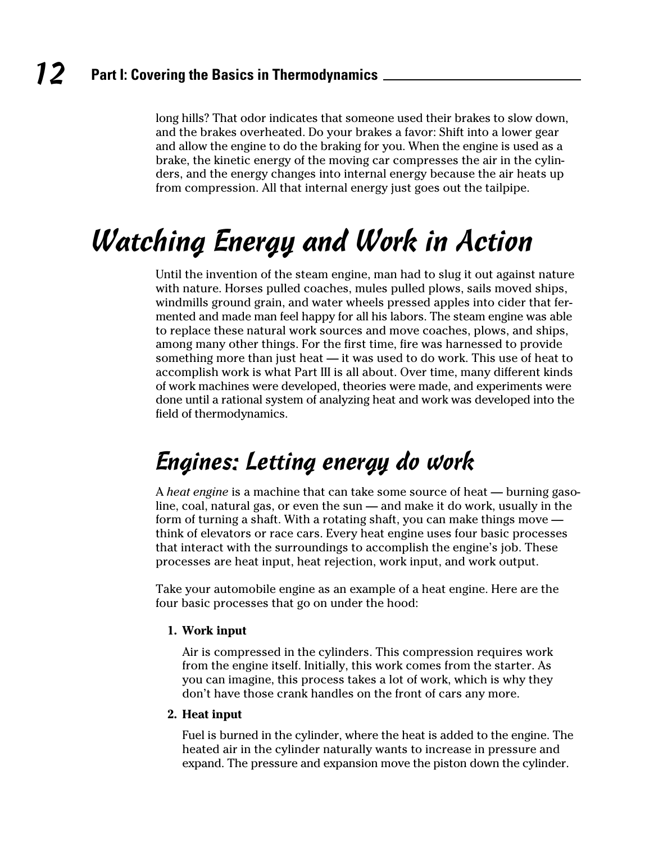long hills? That odor indicates that someone used their brakes to slow down, and the brakes overheated. Do your brakes a favor: Shift into a lower gear and allow the engine to do the braking for you. When the engine is used as a brake, the kinetic energy of the moving car compresses the air in the cylinders, and the energy changes into internal energy because the air heats up from compression. All that internal energy just goes out the tailpipe.

# Watching Energy and Work in Action

Until the invention of the steam engine, man had to slug it out against nature with nature. Horses pulled coaches, mules pulled plows, sails moved ships, windmills ground grain, and water wheels pressed apples into cider that fermented and made man feel happy for all his labors. The steam engine was able to replace these natural work sources and move coaches, plows, and ships, among many other things. For the first time, fire was harnessed to provide something more than just heat — it was used to do work. This use of heat to accomplish work is what Part III is all about. Over time, many different kinds of work machines were developed, theories were made, and experiments were done until a rational system of analyzing heat and work was developed into the field of thermodynamics.

### Engines: Letting energy do work

A *heat engine* is a machine that can take some source of heat — burning gasoline, coal, natural gas, or even the sun — and make it do work, usually in the form of turning a shaft. With a rotating shaft, you can make things move think of elevators or race cars. Every heat engine uses four basic processes that interact with the surroundings to accomplish the engine's job. These processes are heat input, heat rejection, work input, and work output.

Take your automobile engine as an example of a heat engine. Here are the four basic processes that go on under the hood:

#### **1. Work input**

 Air is compressed in the cylinders. This compression requires work from the engine itself. Initially, this work comes from the starter. As you can imagine, this process takes a lot of work, which is why they don't have those crank handles on the front of cars any more.

#### **2. Heat input**

 Fuel is burned in the cylinder, where the heat is added to the engine. The heated air in the cylinder naturally wants to increase in pressure and expand. The pressure and expansion move the piston down the cylinder.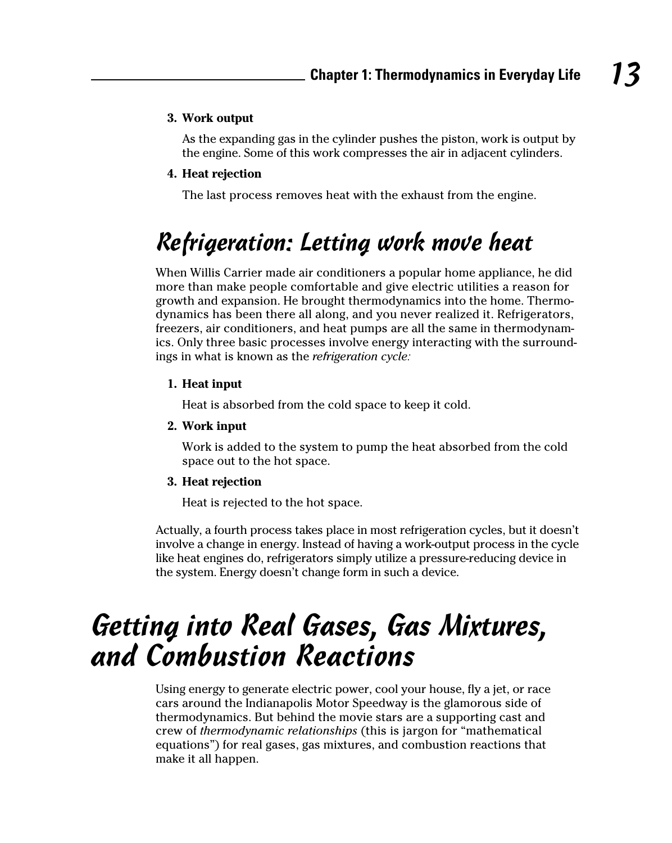#### **3. Work output**

 As the expanding gas in the cylinder pushes the piston, work is output by the engine. Some of this work compresses the air in adjacent cylinders.

#### **4. Heat rejection**

The last process removes heat with the exhaust from the engine.

### Refrigeration: Letting work move heat

When Willis Carrier made air conditioners a popular home appliance, he did more than make people comfortable and give electric utilities a reason for growth and expansion. He brought thermodynamics into the home. Thermodynamics has been there all along, and you never realized it. Refrigerators, freezers, air conditioners, and heat pumps are all the same in thermodynamics. Only three basic processes involve energy interacting with the surroundings in what is known as the *refrigeration cycle:*

#### **1. Heat input**

Heat is absorbed from the cold space to keep it cold.

#### **2. Work input**

 Work is added to the system to pump the heat absorbed from the cold space out to the hot space.

#### **3. Heat rejection**

Heat is rejected to the hot space.

Actually, a fourth process takes place in most refrigeration cycles, but it doesn't involve a change in energy. Instead of having a work-output process in the cycle like heat engines do, refrigerators simply utilize a pressure-reducing device in the system. Energy doesn't change form in such a device.

## Getting into Real Gases, Gas Mixtures, and Combustion Reactions

Using energy to generate electric power, cool your house, fly a jet, or race cars around the Indianapolis Motor Speedway is the glamorous side of thermodynamics. But behind the movie stars are a supporting cast and crew of *thermodynamic relationships* (this is jargon for "mathematical equations") for real gases, gas mixtures, and combustion reactions that make it all happen.